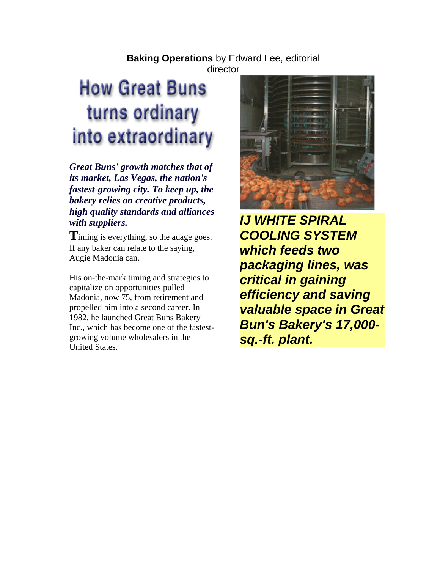## **Baking Operations** by Edward Lee, editorial

director

# **How Great Buns** turns ordinary into extraordinary

*Great Buns' growth matches that of its market, Las Vegas, the nation's fastest-growing city. To keep up, the bakery relies on creative products, high quality standards and alliances with suppliers. IJ WHITE SPIRAL* 

**T**iming is everything, so the adage goes. If any baker can relate to the saying, Augie Madonia can.

His on-the-mark timing and strategies to capitalize on opportunities pulled Madonia, now 75, from retirement and propelled him into a second career. In 1982, he launched Great Buns Bakery Inc., which has become one of the fastestgrowing volume wholesalers in the United States.



*COOLING SYSTEM which feeds two packaging lines, was critical in gaining efficiency and saving valuable space in Great Bun's Bakery's 17,000 sq.-ft. plant.*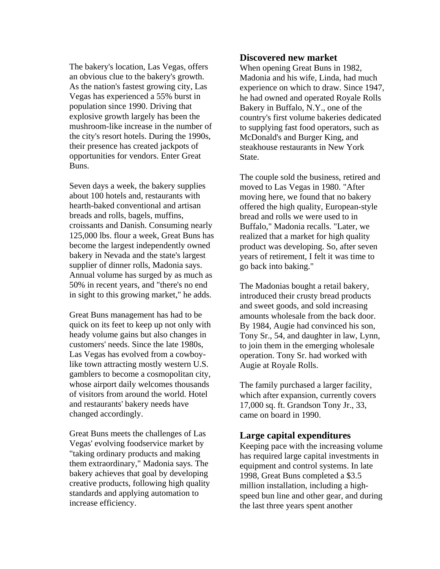The bakery's location, Las Vegas, offers an obvious clue to the bakery's growth. As the nation's fastest growing city, Las Vegas has experienced a 55% burst in population since 1990. Driving that explosive growth largely has been the mushroom-like increase in the number of the city's resort hotels. During the 1990s, their presence has created jackpots of opportunities for vendors. Enter Great Buns.

Seven days a week, the bakery supplies about 100 hotels and, restaurants with hearth-baked conventional and artisan breads and rolls, bagels, muffins, croissants and Danish. Consuming nearly 125,000 lbs. flour a week, Great Buns has become the largest independently owned bakery in Nevada and the state's largest supplier of dinner rolls, Madonia says. Annual volume has surged by as much as 50% in recent years, and "there's no end in sight to this growing market," he adds.

Great Buns management has had to be quick on its feet to keep up not only with heady volume gains but also changes in customers' needs. Since the late 1980s, Las Vegas has evolved from a cowboylike town attracting mostly western U.S. gamblers to become a cosmopolitan city, whose airport daily welcomes thousands of visitors from around the world. Hotel and restaurants' bakery needs have changed accordingly.

Great Buns meets the challenges of Las Vegas' evolving foodservice market by "taking ordinary products and making them extraordinary," Madonia says. The bakery achieves that goal by developing creative products, following high quality standards and applying automation to increase efficiency.

#### **Discovered new market**

When opening Great Buns in 1982, Madonia and his wife, Linda, had much experience on which to draw. Since 1947, he had owned and operated Royale Rolls Bakery in Buffalo, N.Y., one of the country's first volume bakeries dedicated to supplying fast food operators, such as McDonald's and Burger King, and steakhouse restaurants in New York State.

The couple sold the business, retired and moved to Las Vegas in 1980. "After moving here, we found that no bakery offered the high quality, European-style bread and rolls we were used to in Buffalo," Madonia recalls. "Later, we realized that a market for high quality product was developing. So, after seven years of retirement, I felt it was time to go back into baking."

The Madonias bought a retail bakery, introduced their crusty bread products and sweet goods, and sold increasing amounts wholesale from the back door. By 1984, Augie had convinced his son, Tony Sr., 54, and daughter in law, Lynn, to join them in the emerging wholesale operation. Tony Sr. had worked with Augie at Royale Rolls.

The family purchased a larger facility, which after expansion, currently covers 17,000 sq. ft. Grandson Tony Jr., 33, came on board in 1990.

#### **Large capital expenditures**

Keeping pace with the increasing volume has required large capital investments in equipment and control systems. In late 1998, Great Buns completed a \$3.5 million installation, including a highspeed bun line and other gear, and during the last three years spent another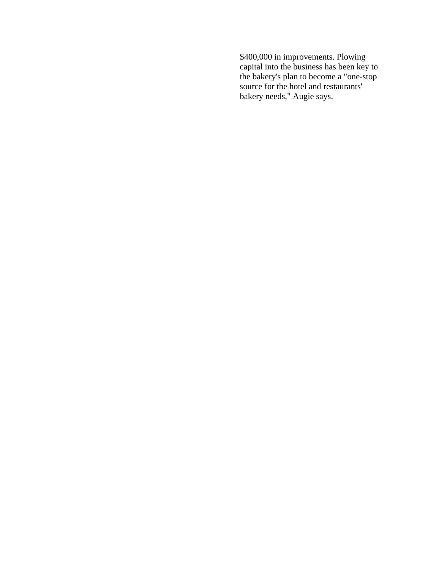\$400,000 in improvements. Plowing capital into the business has been key to the bakery's plan to become a "one-stop source for the hotel and restaurants' bakery needs," Augie says.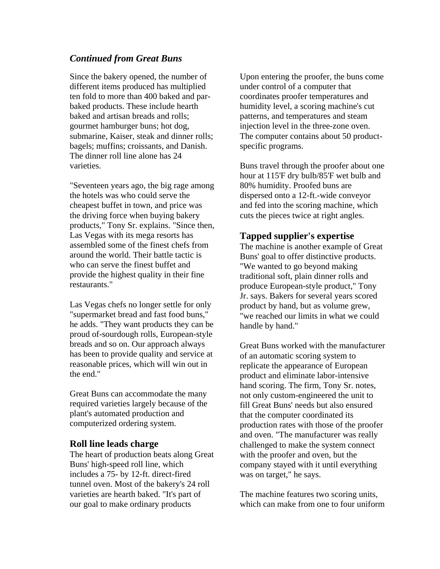## *Continued from Great Buns*

Since the bakery opened, the number of different items produced has multiplied ten fold to more than 400 baked and parbaked products. These include hearth baked and artisan breads and rolls; gourmet hamburger buns; hot dog, submarine, Kaiser, steak and dinner rolls; bagels; muffins; croissants, and Danish. The dinner roll line alone has 24 varieties.

"Seventeen years ago, the big rage among the hotels was who could serve the cheapest buffet in town, and price was the driving force when buying bakery products," Tony Sr. explains. "Since then, Las Vegas with its mega resorts has assembled some of the finest chefs from around the world. Their battle tactic is who can serve the finest buffet and provide the highest quality in their fine restaurants."

Las Vegas chefs no longer settle for only "supermarket bread and fast food buns," he adds. "They want products they can be proud of-sourdough rolls, European-style breads and so on. Our approach always has been to provide quality and service at reasonable prices, which will win out in the end."

Great Buns can accommodate the many required varieties largely because of the plant's automated production and computerized ordering system.

#### **Roll line leads charge**

The heart of production beats along Great Buns' high-speed roll line, which includes a 75- by 12-ft. direct-fired tunnel oven. Most of the bakery's 24 roll varieties are hearth baked. "It's part of our goal to make ordinary products

Upon entering the proofer, the buns come under control of a computer that coordinates proofer temperatures and humidity level, a scoring machine's cut patterns, and temperatures and steam injection level in the three-zone oven. The computer contains about 50 productspecific programs.

Buns travel through the proofer about one hour at 115'F dry bulb/85'F wet bulb and 80% humidity. Proofed buns are dispersed onto a 12-ft.-wide conveyor and fed into the scoring machine, which cuts the pieces twice at right angles.

#### **Tapped supplier's expertise**

The machine is another example of Great Buns' goal to offer distinctive products. "We wanted to go beyond making traditional soft, plain dinner rolls and produce European-style product," Tony Jr. says. Bakers for several years scored product by hand, but as volume grew, "we reached our limits in what we could handle by hand."

Great Buns worked with the manufacturer of an automatic scoring system to replicate the appearance of European product and eliminate labor-intensive hand scoring. The firm, Tony Sr. notes, not only custom-engineered the unit to fill Great Buns' needs but also ensured that the computer coordinated its production rates with those of the proofer and oven. "The manufacturer was really challenged to make the system connect with the proofer and oven, but the company stayed with it until everything was on target," he says.

The machine features two scoring units, which can make from one to four uniform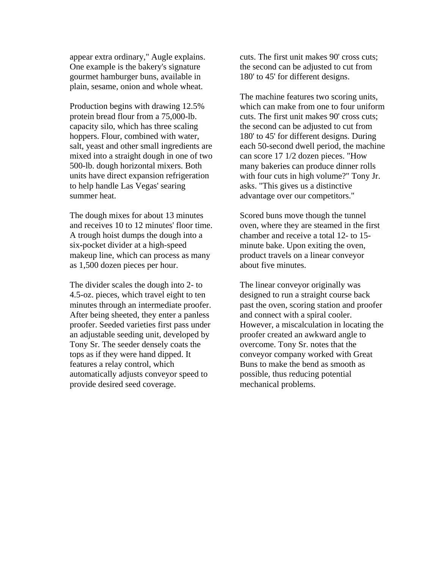appear extra ordinary," Augle explains. One example is the bakery's signature gourmet hamburger buns, available in plain, sesame, onion and whole wheat.

Production begins with drawing 12.5% protein bread flour from a 75,000-lb. capacity silo, which has three scaling hoppers. Flour, combined with water, salt, yeast and other small ingredients are mixed into a straight dough in one of two 500-lb. dough horizontal mixers. Both units have direct expansion refrigeration to help handle Las Vegas' searing summer heat.

The dough mixes for about 13 minutes and receives 10 to 12 minutes' floor time. A trough hoist dumps the dough into a six-pocket divider at a high-speed makeup line, which can process as many as 1,500 dozen pieces per hour.

The divider scales the dough into 2- to 4.5-oz. pieces, which travel eight to ten minutes through an intermediate proofer. After being sheeted, they enter a panless proofer. Seeded varieties first pass under an adjustable seeding unit, developed by Tony Sr. The seeder densely coats the tops as if they were hand dipped. It features a relay control, which automatically adjusts conveyor speed to provide desired seed coverage.

cuts. The first unit makes 90' cross cuts; the second can be adjusted to cut from 180' to 45' for different designs.

The machine features two scoring units, which can make from one to four uniform cuts. The first unit makes 90' cross cuts; the second can be adjusted to cut from 180' to 45' for different designs. During each 50-second dwell period, the machine can score 17 1/2 dozen pieces. "How many bakeries can produce dinner rolls with four cuts in high volume?" Tony Jr. asks. "This gives us a distinctive advantage over our competitors."

Scored buns move though the tunnel oven, where they are steamed in the first chamber and receive a total 12- to 15 minute bake. Upon exiting the oven, product travels on a linear conveyor about five minutes.

The linear conveyor originally was designed to run a straight course back past the oven, scoring station and proofer and connect with a spiral cooler. However, a miscalculation in locating the proofer created an awkward angle to overcome. Tony Sr. notes that the conveyor company worked with Great Buns to make the bend as smooth as possible, thus reducing potential mechanical problems.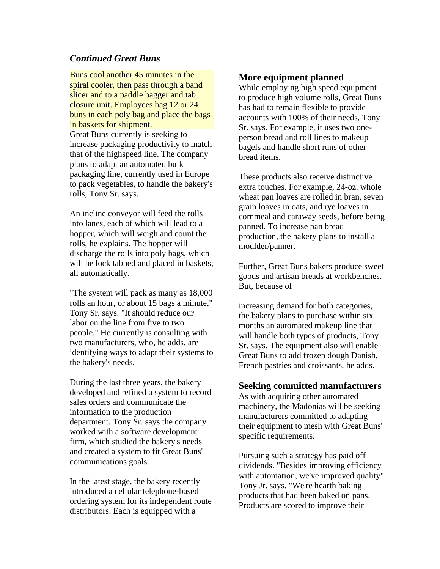## *Continued Great Buns*

Buns cool another 45 minutes in the spiral cooler, then pass through a band slicer and to a paddle bagger and tab closure unit. Employees bag 12 or 24 buns in each poly bag and place the bags in baskets for shipment. Great Buns currently is seeking to increase packaging productivity to match that of the highspeed line. The company plans to adapt an automated bulk packaging line, currently used in Europe to pack vegetables, to handle the bakery's rolls, Tony Sr. says.

An incline conveyor will feed the rolls into lanes, each of which will lead to a hopper, which will weigh and count the rolls, he explains. The hopper will discharge the rolls into poly bags, which will be lock tabbed and placed in baskets, all automatically.

"The system will pack as many as 18,000 rolls an hour, or about 15 bags a minute," Tony Sr. says. "It should reduce our labor on the line from five to two people." He currently is consulting with two manufacturers, who, he adds, are identifying ways to adapt their systems to the bakery's needs.

During the last three years, the bakery developed and refined a system to record sales orders and communicate the information to the production department. Tony Sr. says the company worked with a software development firm, which studied the bakery's needs and created a system to fit Great Buns' communications goals.

In the latest stage, the bakery recently introduced a cellular telephone-based ordering system for its independent route distributors. Each is equipped with a

### **More equipment planned**

While employing high speed equipment to produce high volume rolls, Great Buns has had to remain flexible to provide accounts with 100% of their needs, Tony Sr. says. For example, it uses two oneperson bread and roll lines to makeup bagels and handle short runs of other bread items.

These products also receive distinctive extra touches. For example, 24-oz. whole wheat pan loaves are rolled in bran, seven grain loaves in oats, and rye loaves in cornmeal and caraway seeds, before being panned. To increase pan bread production, the bakery plans to install a moulder/panner.

Further, Great Buns bakers produce sweet goods and artisan breads at workbenches. But, because of

increasing demand for both categories, the bakery plans to purchase within six months an automated makeup line that will handle both types of products, Tony Sr. says. The equipment also will enable Great Buns to add frozen dough Danish, French pastries and croissants, he adds.

#### **Seeking committed manufacturers**

As with acquiring other automated machinery, the Madonias will be seeking manufacturers committed to adapting their equipment to mesh with Great Buns' specific requirements.

Pursuing such a strategy has paid off dividends. "Besides improving efficiency with automation, we've improved quality" Tony Jr. says. "We're hearth baking products that had been baked on pans. Products are scored to improve their